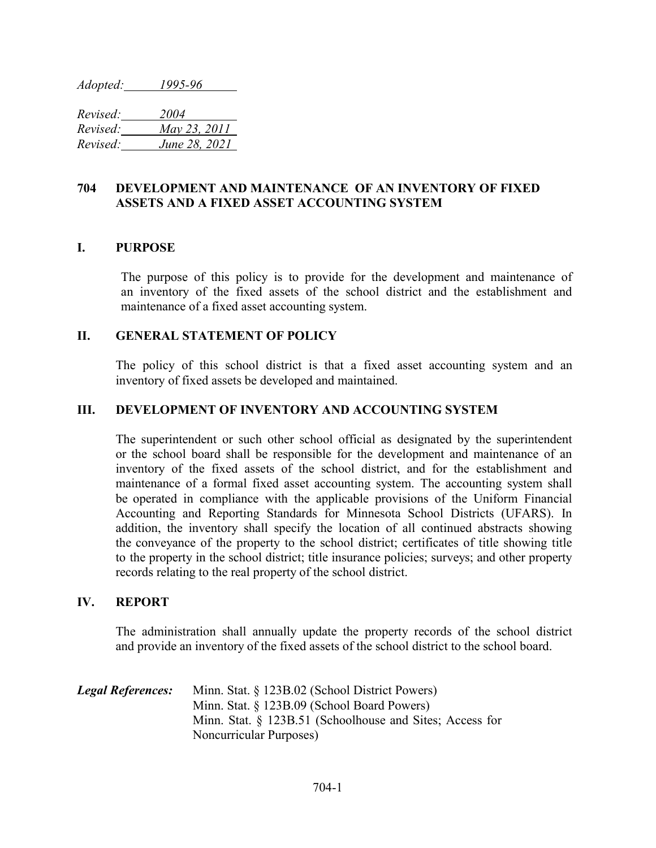*Adopted: 1995-96* 

*Revised: 2004 Revised: May 23, 2011 Revised: June 28, 2021*

# **704 DEVELOPMENT AND MAINTENANCE OF AN INVENTORY OF FIXED ASSETS AND A FIXED ASSET ACCOUNTING SYSTEM**

# **I. PURPOSE**

The purpose of this policy is to provide for the development and maintenance of an inventory of the fixed assets of the school district and the establishment and maintenance of a fixed asset accounting system.

### **II. GENERAL STATEMENT OF POLICY**

The policy of this school district is that a fixed asset accounting system and an inventory of fixed assets be developed and maintained.

# **III. DEVELOPMENT OF INVENTORY AND ACCOUNTING SYSTEM**

The superintendent or such other school official as designated by the superintendent or the school board shall be responsible for the development and maintenance of an inventory of the fixed assets of the school district, and for the establishment and maintenance of a formal fixed asset accounting system. The accounting system shall be operated in compliance with the applicable provisions of the Uniform Financial Accounting and Reporting Standards for Minnesota School Districts (UFARS). In addition, the inventory shall specify the location of all continued abstracts showing the conveyance of the property to the school district; certificates of title showing title to the property in the school district; title insurance policies; surveys; and other property records relating to the real property of the school district.

### **IV. REPORT**

The administration shall annually update the property records of the school district and provide an inventory of the fixed assets of the school district to the school board.

| <b>Legal References:</b> | Minn. Stat. § 123B.02 (School District Powers)              |
|--------------------------|-------------------------------------------------------------|
|                          | Minn. Stat. § 123B.09 (School Board Powers)                 |
|                          | Minn. Stat. $\S$ 123B.51 (Schoolhouse and Sites; Access for |
|                          | <b>Noncurricular Purposes</b> )                             |